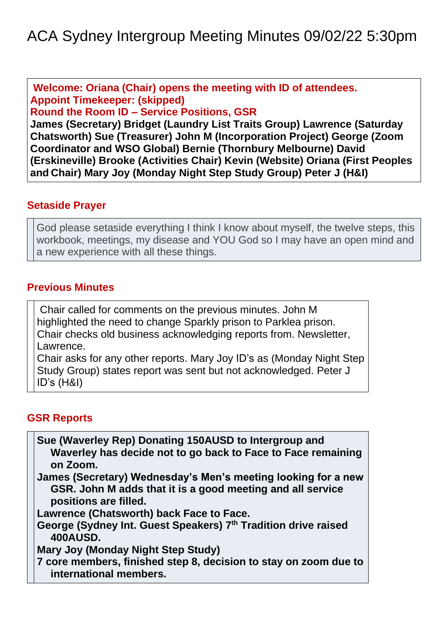ACA Sydney Intergroup Meeting Minutes 09/02/22 5:30pm

**Welcome: Oriana (Chair) opens the meeting with ID of attendees. Appoint Timekeeper: (skipped)**

**Round the Room ID – Service Positions, GSR**

**James (Secretary) Bridget (Laundry List Traits Group) Lawrence (Saturday Chatsworth) Sue (Treasurer) John M (Incorporation Project) George (Zoom Coordinator and WSO Global) Bernie (Thornbury Melbourne) David (Erskineville) Brooke (Activities Chair) Kevin (Website) Oriana (First Peoples and Chair) Mary Joy (Monday Night Step Study Group) Peter J (H&I)**

## **Setaside Prayer**

God please setaside everything I think I know about myself, the twelve steps, this workbook, meetings, my disease and YOU God so I may have an open mind and a new experience with all these things.

## **Previous Minutes**

Chair called for comments on the previous minutes. John M highlighted the need to change Sparkly prison to Parklea prison. Chair checks old business acknowledging reports from. Newsletter, Lawrence.

Chair asks for any other reports. Mary Joy ID's as (Monday Night Step Study Group) states report was sent but not acknowledged. Peter J ID's (H&I)

# **GSR Reports**

**Sue (Waverley Rep) Donating 150AUSD to Intergroup and Waverley has decide not to go back to Face to Face remaining on Zoom.**

**James (Secretary) Wednesday's Men's meeting looking for a new GSR. John M adds that it is a good meeting and all service positions are filled.**

**Lawrence (Chatsworth) back Face to Face.**

**George (Sydney Int. Guest Speakers) 7 th Tradition drive raised 400AUSD.**

**Mary Joy (Monday Night Step Study)**

**7 core members, finished step 8, decision to stay on zoom due to international members.**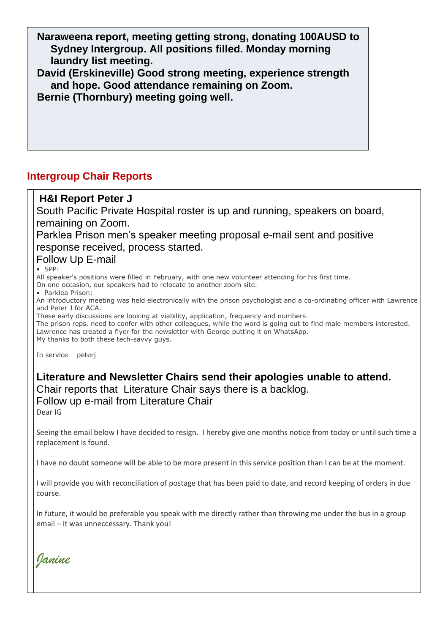**Naraweena report, meeting getting strong, donating 100AUSD to Sydney Intergroup. All positions filled. Monday morning laundry list meeting.**

**David (Erskineville) Good strong meeting, experience strength and hope. Good attendance remaining on Zoom. Bernie (Thornbury) meeting going well.**

#### **Intergroup Chair Reports**

#### **H&I Report Peter J** South Pacific Private Hospital roster is up and running, speakers on board, remaining on Zoom. Parklea Prison men's speaker meeting proposal e-mail sent and positive response received, process started. Follow Up E-mail • SPP: All speaker's positions were filled in February, with one new volunteer attending for his first time. On one occasion, our speakers had to relocate to another zoom site. • Parklea Prison: An introductory meeting was held electronically with the prison psychologist and a co-ordinating officer with Lawrence and Peter J for ACA. These early discussions are looking at viability, application, frequency and numbers. The prison reps. need to confer with other colleagues, while the word is going out to find male members interested. Lawrence has created a flyer for the newsletter with George putting it on WhatsApp. My thanks to both these tech-savvy guys. In service peterj **Literature and Newsletter Chairs send their apologies unable to attend.** Chair reports that Literature Chair says there is a backlog. Follow up e-mail from Literature Chair Dear IG

Seeing the email below I have decided to resign. I hereby give one months notice from today or until such time a replacement is found.

I have no doubt someone will be able to be more present in this service position than I can be at the moment.

I will provide you with reconciliation of postage that has been paid to date, and record keeping of orders in due course.

In future, it would be preferable you speak with me directly rather than throwing me under the bus in a group email – it was unneccessary. Thank you!

*Janine*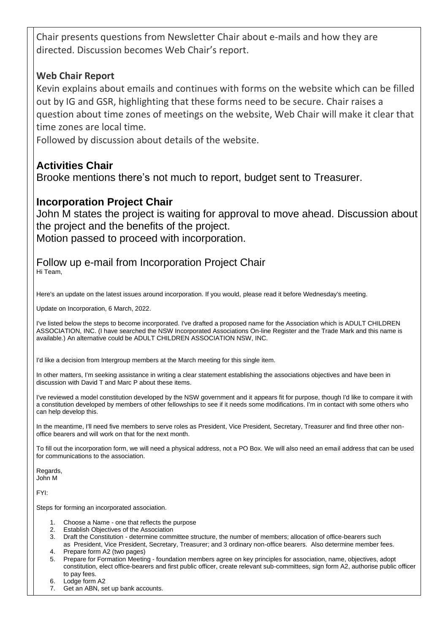Chair presents questions from Newsletter Chair about e-mails and how they are directed. Discussion becomes Web Chair's report.

#### **Web Chair Report**

Kevin explains about emails and continues with forms on the website which can be filled out by IG and GSR, highlighting that these forms need to be secure. Chair raises a question about time zones of meetings on the website, Web Chair will make it clear that time zones are local time.

Followed by discussion about details of the website.

## **Activities Chair**

Brooke mentions there's not much to report, budget sent to Treasurer.

#### **Incorporation Project Chair**

John M states the project is waiting for approval to move ahead. Discussion about the project and the benefits of the project.

Motion passed to proceed with incorporation.

Follow up e-mail from Incorporation Project Chair Hi Team,

Here's an update on the latest issues around incorporation. If you would, please read it before Wednesday's meeting.

Update on Incorporation, 6 March, 2022.

I've listed below the steps to become incorporated. I've drafted a proposed name for the Association which is ADULT CHILDREN ASSOCIATION, INC. (I have searched the NSW Incorporated Associations On-line Register and the Trade Mark and this name is available.) An alternative could be ADULT CHILDREN ASSOCIATION NSW, INC.

I'd like a decision from Intergroup members at the March meeting for this single item.

In other matters, I'm seeking assistance in writing a clear statement establishing the associations objectives and have been in discussion with David T and Marc P about these items.

I've reviewed a model constitution developed by the NSW government and it appears fit for purpose, though I'd like to compare it with a constitution developed by members of other fellowships to see if it needs some modifications. I'm in contact with some others who can help develop this.

In the meantime, I'll need five members to serve roles as President, Vice President, Secretary, Treasurer and find three other nonoffice bearers and will work on that for the next month.

To fill out the incorporation form, we will need a physical address, not a PO Box. We will also need an email address that can be used for communications to the association.

Regards, John M

FYI:

Steps for forming an incorporated association.

- 1. Choose a Name one that reflects the purpose
- 2. Establish Objectives of the Association
- 3. Draft the Constitution determine committee structure, the number of members; allocation of office-bearers such
- as President, Vice President, Secretary, Treasurer; and 3 ordinary non-office bearers. Also determine member fees. 4. Prepare form A2 (two pages)
- 5. Prepare for Formation Meeting foundation members agree on key principles for association, name, objectives, adopt constitution, elect office-bearers and first public officer, create relevant sub-committees, sign form A2, authorise public officer to pay fees.
- 6. Lodge form A2
- 7. Get an ABN, set up bank accounts.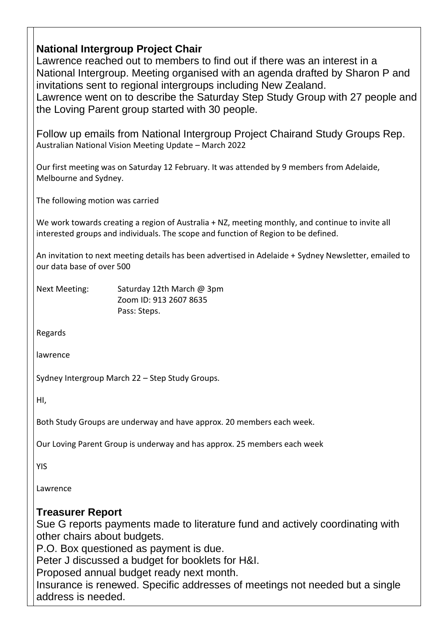| <b>National Intergroup Project Chair</b> |  |
|------------------------------------------|--|
|------------------------------------------|--|

Lawrence reached out to members to find out if there was an interest in a National Intergroup. Meeting organised with an agenda drafted by Sharon P and invitations sent to regional intergroups including New Zealand.

Lawrence went on to describe the Saturday Step Study Group with 27 people and the Loving Parent group started with 30 people.

Follow up emails from National Intergroup Project Chairand Study Groups Rep. Australian National Vision Meeting Update – March 2022

Our first meeting was on Saturday 12 February. It was attended by 9 members from Adelaide, Melbourne and Sydney.

The following motion was carried

We work towards creating a region of Australia + NZ, meeting monthly, and continue to invite all interested groups and individuals. The scope and function of Region to be defined.

An invitation to next meeting details has been advertised in Adelaide + Sydney Newsletter, emailed to our data base of over 500

Next Meeting: Saturday 12th March @ 3pm Zoom ID: 913 2607 8635 Pass: Steps.

Regards

lawrence

Sydney Intergroup March 22 – Step Study Groups.

HI,

Both Study Groups are underway and have approx. 20 members each week.

Our Loving Parent Group is underway and has approx. 25 members each week

YIS

Lawrence

#### **Treasurer Report**

Sue G reports payments made to literature fund and actively coordinating with other chairs about budgets.

P.O. Box questioned as payment is due.

Peter J discussed a budget for booklets for H&I.

Proposed annual budget ready next month.

Insurance is renewed. Specific addresses of meetings not needed but a single address is needed.